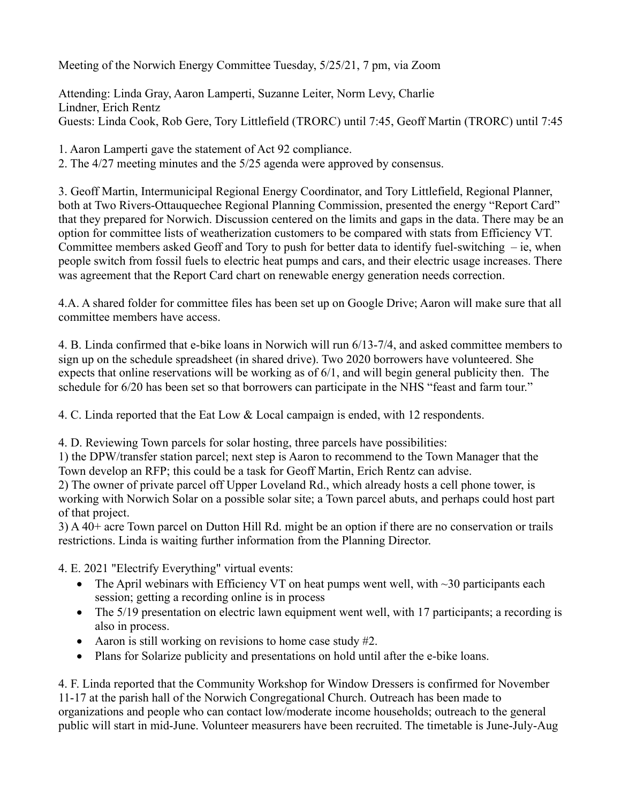Meeting of the Norwich Energy Committee Tuesday, 5/25/21, 7 pm, via Zoom

Attending: Linda Gray, Aaron Lamperti, Suzanne Leiter, Norm Levy, Charlie Lindner, Erich Rentz Guests: Linda Cook, Rob Gere, Tory Littlefield (TRORC) until 7:45, Geoff Martin (TRORC) until 7:45

1. Aaron Lamperti gave the statement of Act 92 compliance.

2. The 4/27 meeting minutes and the 5/25 agenda were approved by consensus.

3. Geoff Martin, Intermunicipal Regional Energy Coordinator, and Tory Littlefield, Regional Planner, both at Two Rivers-Ottauquechee Regional Planning Commission, presented the energy "Report Card" that they prepared for Norwich. Discussion centered on the limits and gaps in the data. There may be an option for committee lists of weatherization customers to be compared with stats from Efficiency VT. Committee members asked Geoff and Tory to push for better data to identify fuel-switching – ie, when people switch from fossil fuels to electric heat pumps and cars, and their electric usage increases. There was agreement that the Report Card chart on renewable energy generation needs correction.

4.A. A shared folder for committee files has been set up on Google Drive; Aaron will make sure that all committee members have access.

4. B. Linda confirmed that e-bike loans in Norwich will run 6/13-7/4, and asked committee members to sign up on the schedule spreadsheet (in shared drive). Two 2020 borrowers have volunteered. She expects that online reservations will be working as of 6/1, and will begin general publicity then. The schedule for  $6/20$  has been set so that borrowers can participate in the NHS "feast and farm tour."

4. C. Linda reported that the Eat Low & Local campaign is ended, with 12 respondents.

4. D. Reviewing Town parcels for solar hosting, three parcels have possibilities:

1) the DPW/transfer station parcel; next step is Aaron to recommend to the Town Manager that the Town develop an RFP; this could be a task for Geoff Martin, Erich Rentz can advise.

2) The owner of private parcel off Upper Loveland Rd., which already hosts a cell phone tower, is working with Norwich Solar on a possible solar site; a Town parcel abuts, and perhaps could host part of that project.

3) A 40+ acre Town parcel on Dutton Hill Rd. might be an option if there are no conservation or trails restrictions. Linda is waiting further information from the Planning Director.

4. E. 2021 "Electrify Everything" virtual events:

- The April webinars with Efficiency VT on heat pumps went well, with  $\sim$ 30 participants each session; getting a recording online is in process
- The 5/19 presentation on electric lawn equipment went well, with 17 participants; a recording is also in process.
- Aaron is still working on revisions to home case study #2.
- Plans for Solarize publicity and presentations on hold until after the e-bike loans.

4. F. Linda reported that the Community Workshop for Window Dressers is confirmed for November 11-17 at the parish hall of the Norwich Congregational Church. Outreach has been made to organizations and people who can contact low/moderate income households; outreach to the general public will start in mid-June. Volunteer measurers have been recruited. The timetable is June-July-Aug